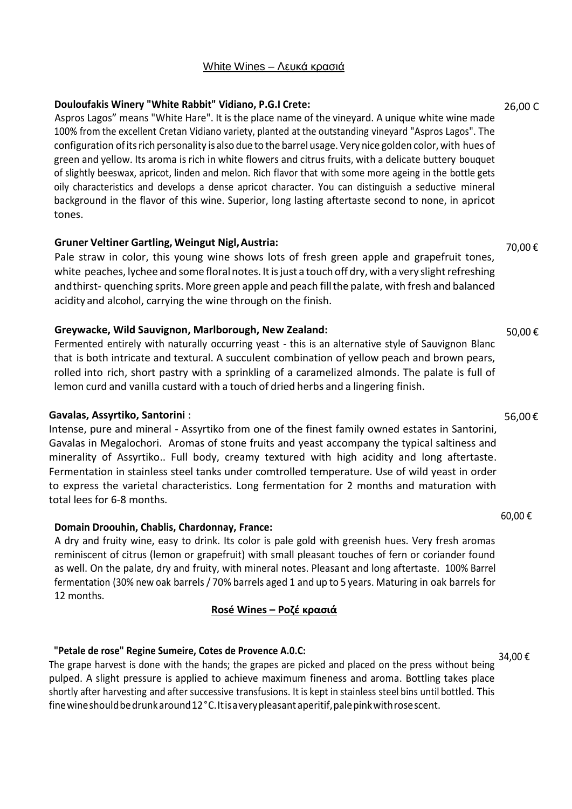## White Wines – Λευκά κρασιά

## **Douloufakis Winery "White Rabbit" Vidiano, P.G.I Crete:**

Aspros Lagos" means "White Hare". It is the place name of the vineyard. A unique white wine made 100% from the excellent Cretan Vidiano variety, planted at the outstanding vineyard "Aspros Lagos". The configuration ofitsrich personality is also due to the barrel usage. Very nice golden color, with hues of green and yellow. Its aroma is rich in white flowers and citrus fruits, with a delicate buttery bouquet of slightly beeswax, apricot, linden and melon. Rich flavor that with some more ageing in the bottle gets oily characteristics and develops a dense apricot character. You can distinguish a seductive mineral background in the flavor of this wine. Superior, long lasting aftertaste second to none, in apricot tones.

## **Gruner Veltiner Gartling, Weingut Nigl,Austria:**

Pale straw in color, this young wine shows lots of fresh green apple and grapefruit tones, white peaches, lychee and some floral notes. It is just a touch off dry, with a very slight refreshing andthirst- quenching sprits. More green apple and peach fillthe palate, with fresh and balanced acidity and alcohol, carrying the wine through on the finish.

## **Greywacke, Wild Sauvignon, Marlborough, New Zealand:**

Fermented entirely with naturally occurring yeast - this is an alternative style of Sauvignon Blanc that is both intricate and textural. A succulent combination of yellow peach and brown pears, rolled into rich, short pastry with a sprinkling of a caramelized almonds. The palate is full of lemon curd and vanilla custard with a touch of dried herbs and a lingering finish.

## **Gavalas, Assyrtiko, Santorini** :

Intense, pure and mineral - Assyrtiko from one of the finest family owned estates in Santorini, Gavalas in Megalochori. Aromas of stone fruits and yeast accompany the typical saltiness and minerality of Assyrtiko.. Full body, creamy textured with high acidity and long aftertaste. Fermentation in stainless steel tanks under comtrolled temperature. Use of wild yeast in order to express the varietal characteristics. Long fermentation for 2 months and maturation with total lees for 6-8 months.

## **Domain Droouhin, Chablis, Chardonnay, France:**

A dry and fruity wine, easy to drink. Its color is pale gold with greenish hues. Very fresh aromas reminiscent of citrus (lemon or grapefruit) with small pleasant touches of fern or coriander found as well. On the palate, dry and fruity, with mineral notes. Pleasant and long aftertaste. 100% Barrel fermentation (30% new oak barrels/ 70% barrels aged 1 and up to 5 years. Maturing in oak barrels for 12 months.

## **Rosé Wines – Ροζέ κρασιά**

## **"Petale de rose" Regine Sumeire, Cotes de Provence A.0.C:**

The grape harvest is done with the hands; the grapes are picked and placed on the press without being pulped. A slight pressure is applied to achieve maximum fineness and aroma. Bottling takes place shortly after harvesting and after successive transfusions. It is kept in stainless steel bins until bottled. This finewineshouldbedrunkaround12°C.Itisaverypleasant aperitif,palepinkwithrosescent.

26,00 C

70,00 €

50,00 €

## 56,00 €

## 60,00 €

34,00 €